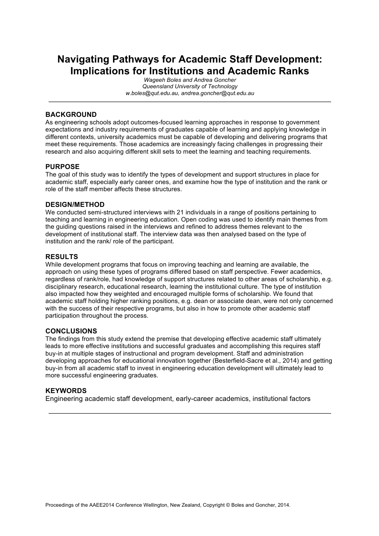# **Navigating Pathways for Academic Staff Development: Implications for Institutions and Academic Ranks**

*Wageeh Boles and Andrea Goncher Queensland University of Technology w.boles@qut.edu.au, andrea.goncher@qut.edu.au*

### **BACKGROUND**

As engineering schools adopt outcomes-focused learning approaches in response to government expectations and industry requirements of graduates capable of learning and applying knowledge in different contexts, university academics must be capable of developing and delivering programs that meet these requirements. Those academics are increasingly facing challenges in progressing their research and also acquiring different skill sets to meet the learning and teaching requirements.

### **PURPOSE**

The goal of this study was to identify the types of development and support structures in place for academic staff, especially early career ones, and examine how the type of institution and the rank or role of the staff member affects these structures.

### **DESIGN/METHOD**

We conducted semi-structured interviews with 21 individuals in a range of positions pertaining to teaching and learning in engineering education. Open coding was used to identify main themes from the guiding questions raised in the interviews and refined to address themes relevant to the development of institutional staff. The interview data was then analysed based on the type of institution and the rank/ role of the participant.

#### **RESULTS**

While development programs that focus on improving teaching and learning are available, the approach on using these types of programs differed based on staff perspective. Fewer academics, regardless of rank/role, had knowledge of support structures related to other areas of scholarship, e.g. disciplinary research, educational research, learning the institutional culture. The type of institution also impacted how they weighted and encouraged multiple forms of scholarship. We found that academic staff holding higher ranking positions, e.g. dean or associate dean, were not only concerned with the success of their respective programs, but also in how to promote other academic staff participation throughout the process.

### **CONCLUSIONS**

The findings from this study extend the premise that developing effective academic staff ultimately leads to more effective institutions and successful graduates and accomplishing this requires staff buy-in at multiple stages of instructional and program development. Staff and administration developing approaches for educational innovation together (Besterfield-Sacre et al., 2014) and getting buy-in from all academic staff to invest in engineering education development will ultimately lead to more successful engineering graduates.

### **KEYWORDS**

Engineering academic staff development, early-career academics, institutional factors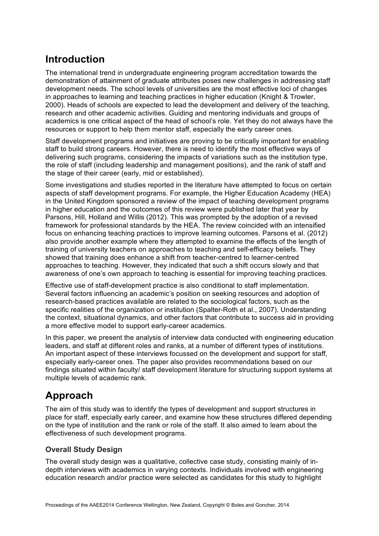# **Introduction**

The international trend in undergraduate engineering program accreditation towards the demonstration of attainment of graduate attributes poses new challenges in addressing staff development needs. The school levels of universities are the most effective loci of changes in approaches to learning and teaching practices in higher education (Knight & Trowler, 2000). Heads of schools are expected to lead the development and delivery of the teaching, research and other academic activities. Guiding and mentoring individuals and groups of academics is one critical aspect of the head of school's role. Yet they do not always have the resources or support to help them mentor staff, especially the early career ones.

Staff development programs and initiatives are proving to be critically important for enabling staff to build strong careers. However, there is need to identify the most effective ways of delivering such programs, considering the impacts of variations such as the institution type, the role of staff (including leadership and management positions), and the rank of staff and the stage of their career (early, mid or established).

Some investigations and studies reported in the literature have attempted to focus on certain aspects of staff development programs. For example, the Higher Education Academy (HEA) in the United Kingdom sponsored a review of the impact of teaching development programs in higher education and the outcomes of this review were published later that year by Parsons, Hill, Holland and Willis (2012). This was prompted by the adoption of a revised framework for professional standards by the HEA. The review coincided with an intensified focus on enhancing teaching practices to improve learning outcomes. Parsons et al. (2012) also provide another example where they attempted to examine the effects of the length of training of university teachers on approaches to teaching and self-efficacy beliefs. They showed that training does enhance a shift from teacher-centred to learner-centred approaches to teaching. However, they indicated that such a shift occurs slowly and that awareness of one's own approach to teaching is essential for improving teaching practices.

Effective use of staff-development practice is also conditional to staff implementation. Several factors influencing an academic's position on seeking resources and adoption of research-based practices available are related to the sociological factors, such as the specific realities of the organization or institution (Spalter-Roth et al., 2007). Understanding the context, situational dynamics, and other factors that contribute to success aid in providing a more effective model to support early-career academics.

In this paper, we present the analysis of interview data conducted with engineering education leaders, and staff at different roles and ranks, at a number of different types of institutions. An important aspect of these interviews focussed on the development and support for staff, especially early-career ones. The paper also provides recommendations based on our findings situated within faculty/ staff development literature for structuring support systems at multiple levels of academic rank.

# **Approach**

The aim of this study was to identify the types of development and support structures in place for staff, especially early career, and examine how these structures differed depending on the type of institution and the rank or role of the staff. It also aimed to learn about the effectiveness of such development programs.

# **Overall Study Design**

The overall study design was a qualitative, collective case study, consisting mainly of indepth interviews with academics in varying contexts. Individuals involved with engineering education research and/or practice were selected as candidates for this study to highlight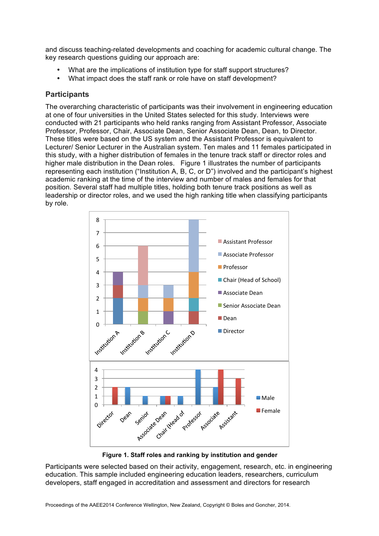and discuss teaching-related developments and coaching for academic cultural change. The key research questions guiding our approach are:

- What are the implications of institution type for staff support structures?
- What impact does the staff rank or role have on staff development?

### **Participants**

The overarching characteristic of participants was their involvement in engineering education at one of four universities in the United States selected for this study. Interviews were conducted with 21 participants who held ranks ranging from Assistant Professor, Associate Professor, Professor, Chair, Associate Dean, Senior Associate Dean, Dean, to Director. These titles were based on the US system and the Assistant Professor is equivalent to Lecturer/ Senior Lecturer in the Australian system. Ten males and 11 females participated in this study, with a higher distribution of females in the tenure track staff or director roles and higher male distribution in the Dean roles. Figure 1 illustrates the number of participants representing each institution ("Institution A, B, C, or D") involved and the participant's highest academic ranking at the time of the interview and number of males and females for that position. Several staff had multiple titles, holding both tenure track positions as well as leadership or director roles, and we used the high ranking title when classifying participants by role.



**Figure 1. Staff roles and ranking by institution and gender**

Participants were selected based on their activity, engagement, research, etc. in engineering education. This sample included engineering education leaders, researchers, curriculum developers, staff engaged in accreditation and assessment and directors for research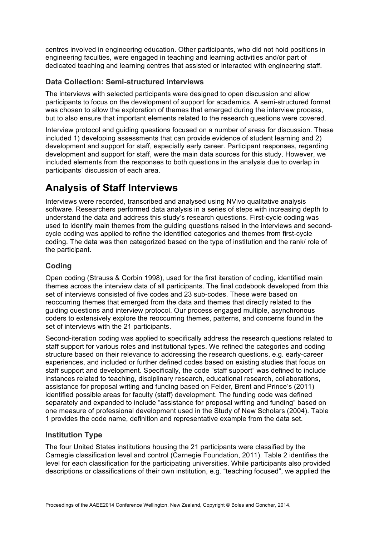centres involved in engineering education. Other participants, who did not hold positions in engineering faculties, were engaged in teaching and learning activities and/or part of dedicated teaching and learning centres that assisted or interacted with engineering staff.

## **Data Collection: Semi-structured interviews**

The interviews with selected participants were designed to open discussion and allow participants to focus on the development of support for academics. A semi-structured format was chosen to allow the exploration of themes that emerged during the interview process, but to also ensure that important elements related to the research questions were covered.

Interview protocol and guiding questions focused on a number of areas for discussion. These included 1) developing assessments that can provide evidence of student learning and 2) development and support for staff, especially early career. Participant responses, regarding development and support for staff, were the main data sources for this study. However, we included elements from the responses to both questions in the analysis due to overlap in participants' discussion of each area.

# **Analysis of Staff Interviews**

Interviews were recorded, transcribed and analysed using NVivo qualitative analysis software. Researchers performed data analysis in a series of steps with increasing depth to understand the data and address this study's research questions. First-cycle coding was used to identify main themes from the guiding questions raised in the interviews and secondcycle coding was applied to refine the identified categories and themes from first-cycle coding. The data was then categorized based on the type of institution and the rank/ role of the participant.

# **Coding**

Open coding (Strauss & Corbin 1998), used for the first iteration of coding, identified main themes across the interview data of all participants. The final codebook developed from this set of interviews consisted of five codes and 23 sub-codes. These were based on reoccurring themes that emerged from the data and themes that directly related to the guiding questions and interview protocol. Our process engaged multiple, asynchronous coders to extensively explore the reoccurring themes, patterns, and concerns found in the set of interviews with the 21 participants.

Second-iteration coding was applied to specifically address the research questions related to staff support for various roles and institutional types. We refined the categories and coding structure based on their relevance to addressing the research questions, e.g. early-career experiences, and included or further defined codes based on existing studies that focus on staff support and development. Specifically, the code "staff support" was defined to include instances related to teaching, disciplinary research, educational research, collaborations, assistance for proposal writing and funding based on Felder, Brent and Prince's (2011) identified possible areas for faculty (staff) development. The funding code was defined separately and expanded to include "assistance for proposal writing and funding" based on one measure of professional development used in the Study of New Scholars (2004). Table 1 provides the code name, definition and representative example from the data set.

## **Institution Type**

The four United States institutions housing the 21 participants were classified by the Carnegie classification level and control (Carnegie Foundation, 2011). Table 2 identifies the level for each classification for the participating universities. While participants also provided descriptions or classifications of their own institution, e.g. "teaching focused", we applied the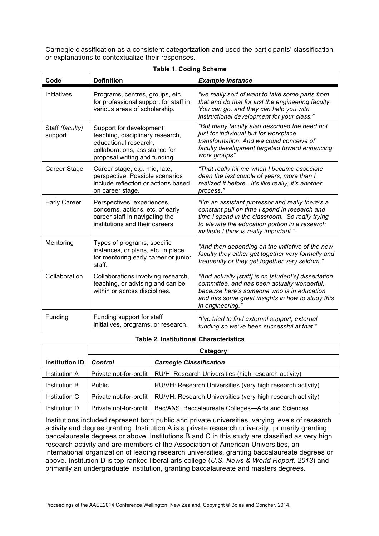Carnegie classification as a consistent categorization and used the participants' classification or explanations to contextualize their responses.

| Code                       | <b>Definition</b>                                                                                                                                        | <b>Example instance</b>                                                                                                                                                                                                                           |  |
|----------------------------|----------------------------------------------------------------------------------------------------------------------------------------------------------|---------------------------------------------------------------------------------------------------------------------------------------------------------------------------------------------------------------------------------------------------|--|
| Initiatives                | Programs, centres, groups, etc.<br>for professional support for staff in<br>various areas of scholarship.                                                | "we really sort of want to take some parts from<br>that and do that for just the engineering faculty.<br>You can go, and they can help you with<br>instructional development for your class."                                                     |  |
| Staff (faculty)<br>support | Support for development:<br>teaching, disciplinary research,<br>educational research,<br>collaborations, assistance for<br>proposal writing and funding. | "But many faculty also described the need not<br>just for individual but for workplace<br>transformation. And we could conceive of<br>faculty development targeted toward enhancing<br>work groups"                                               |  |
| Career Stage               | Career stage, e.g. mid, late,<br>perspective. Possible scenarios<br>include reflection or actions based<br>on career stage.                              | "That really hit me when I became associate<br>dean the last couple of years, more than I<br>realized it before. It's like really, it's another<br>process."                                                                                      |  |
| Early Career               | Perspectives, experiences,<br>concerns, actions, etc. of early<br>career staff in navigating the<br>institutions and their careers.                      | "I'm an assistant professor and really there's a<br>constant pull on time I spend in research and<br>time I spend in the classroom. So really trying<br>to elevate the education portion in a research<br>institute I think is really important." |  |
| Mentoring                  | Types of programs, specific<br>instances, or plans, etc. in place<br>for mentoring early career or junior<br>staff.                                      | "And then depending on the initiative of the new<br>faculty they either get together very formally and<br>frequently or they get together very seldom."                                                                                           |  |
| Collaboration              | Collaborations involving research,<br>teaching, or advising and can be<br>within or across disciplines.                                                  | "And actually [staff] is on [student's] dissertation<br>committee, and has been actually wonderful,<br>because here's someone who is in education<br>and has some great insights in how to study this<br>in engineering."                         |  |
| Funding                    | Funding support for staff<br>initiatives, programs, or research.                                                                                         | "I've tried to find external support, external<br>funding so we've been successful at that."                                                                                                                                                      |  |

## **Table 1. Coding Scheme**

### **Table 2. Institutional Characteristics**

|                       | Category               |                                                            |
|-----------------------|------------------------|------------------------------------------------------------|
| <b>Institution ID</b> | <b>Control</b>         | <b>Carnegie Classification</b>                             |
| <b>Institution A</b>  | Private not-for-profit | RU/H: Research Universities (high research activity)       |
| Institution B         | <b>Public</b>          | RU/VH: Research Universities (very high research activity) |
| Institution C         | Private not-for-profit | RU/VH: Research Universities (very high research activity) |
| Institution D         | Private not-for-profit | Bac/A&S: Baccalaureate Colleges—Arts and Sciences          |

Institutions included represent both public and private universities, varying levels of research activity and degree granting. Institution A is a private research university, primarily granting baccalaureate degrees or above. Institutions B and C in this study are classified as very high research activity and are members of the Association of American Universities, an international organization of leading research universities, granting baccalaureate degrees or above. Institution D is top-ranked liberal arts college (*U.S. News & World Report, 2013*) and primarily an undergraduate institution, granting baccalaureate and masters degrees.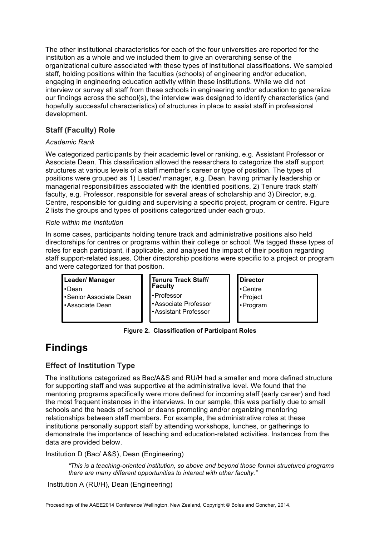The other institutional characteristics for each of the four universities are reported for the institution as a whole and we included them to give an overarching sense of the organizational culture associated with these types of institutional classifications. We sampled staff, holding positions within the faculties (schools) of engineering and/or education, engaging in engineering education activity within these institutions. While we did not interview or survey all staff from these schools in engineering and/or education to generalize our findings across the school(s), the interview was designed to identify characteristics (and hopefully successful characteristics) of structures in place to assist staff in professional development.

# **Staff (Faculty) Role**

## *Academic Rank*

We categorized participants by their academic level or ranking, e.g. Assistant Professor or Associate Dean. This classification allowed the researchers to categorize the staff support structures at various levels of a staff member's career or type of position. The types of positions were grouped as 1) Leader/ manager, e.g. Dean, having primarily leadership or managerial responsibilities associated with the identified positions, 2) Tenure track staff/ faculty, e.g. Professor, responsible for several areas of scholarship and 3) Director, e.g. Centre, responsible for guiding and supervising a specific project, program or centre. Figure 2 lists the groups and types of positions categorized under each group.

### *Role within the Institution*

In some cases, participants holding tenure track and administrative positions also held directorships for centres or programs within their college or school. We tagged these types of roles for each participant, if applicable, and analysed the impact of their position regarding staff support-related issues. Other directorship positions were specific to a project or program and were categorized for that position.

## **Leader/ Manager**  •Dean •Senior Associate Dean •Associate Dean

| Tenure Track Staff/<br>  Faculty |
|----------------------------------|
| • Professor                      |
| ·Associate Professor             |
| -Assistant Professor             |

## **Director**  •Centre •Project •Program

**Figure 2. Classification of Participant Roles**

# **Findings**

# **Effect of Institution Type**

The institutions categorized as Bac/A&S and RU/H had a smaller and more defined structure for supporting staff and was supportive at the administrative level. We found that the mentoring programs specifically were more defined for incoming staff (early career) and had the most frequent instances in the interviews. In our sample, this was partially due to small schools and the heads of school or deans promoting and/or organizing mentoring relationships between staff members. For example, the administrative roles at these institutions personally support staff by attending workshops, lunches, or gatherings to demonstrate the importance of teaching and education-related activities. Instances from the data are provided below.

Institution D (Bac/ A&S), Dean (Engineering)

*"This is a teaching-oriented institution, so above and beyond those formal structured programs there are many different opportunities to interact with other faculty."*

Institution A (RU/H), Dean (Engineering)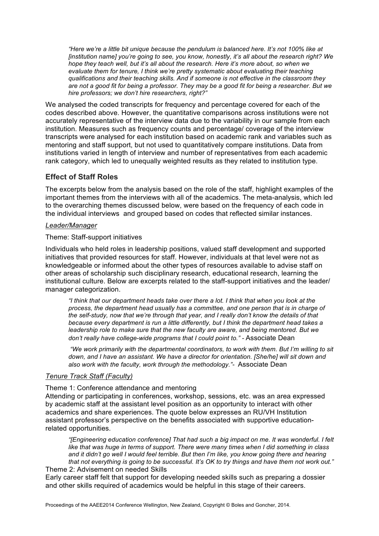*"Here we're a little bit unique because the pendulum is balanced here. It's not 100% like at [institution name] you're going to see, you know, honestly, it's all about the research right? We hope they teach well, but it's all about the research. Here it's more about, so when we evaluate them for tenure, I think we're pretty systematic about evaluating their teaching qualifications and their teaching skills. And if someone is not effective in the classroom they are not a good fit for being a professor. They may be a good fit for being a researcher. But we hire professors; we don't hire researchers, right?"*

We analysed the coded transcripts for frequency and percentage covered for each of the codes described above. However, the quantitative comparisons across institutions were not accurately representative of the interview data due to the variability in our sample from each institution. Measures such as frequency counts and percentage/ coverage of the interview transcripts were analysed for each institution based on academic rank and variables such as mentoring and staff support, but not used to quantitatively compare institutions. Data from institutions varied in length of interview and number of representatives from each academic rank category, which led to unequally weighted results as they related to institution type.

### **Effect of Staff Roles**

The excerpts below from the analysis based on the role of the staff, highlight examples of the important themes from the interviews with all of the academics. The meta-analysis, which led to the overarching themes discussed below, were based on the frequency of each code in the individual interviews and grouped based on codes that reflected similar instances.

#### *Leader/Manager*

#### Theme: Staff-support initiatives

Individuals who held roles in leadership positions, valued staff development and supported initiatives that provided resources for staff. However, individuals at that level were not as knowledgeable or informed about the other types of resources available to advise staff on other areas of scholarship such disciplinary research, educational research, learning the institutional culture. Below are excerpts related to the staff-support initiatives and the leader/ manager categorization.

*"I think that our department heads take over there a lot. I think that when you look at the process, the department head usually has a committee, and one person that is in charge of the self-study, now that we're through that year, and I really don't know the details of that because every department is run a little differently, but I think the department head takes a leadership role to make sure that the new faculty are aware, and being mentored. But we don't really have college-wide programs that I could point to." -* Associate Dean

*"We work primarily with the departmental coordinators, to work with them. But I'm willing to sit down, and I have an assistant. We have a director for orientation. [She/he] will sit down and also work with the faculty, work through the methodology."-* Associate Dean

### *Tenure Track Staff (Faculty)*

Theme 1: Conference attendance and mentoring

Attending or participating in conferences, workshop, sessions, etc. was an area expressed by academic staff at the assistant level position as an opportunity to interact with other academics and share experiences. The quote below expresses an RU/VH Institution assistant professor's perspective on the benefits associated with supportive educationrelated opportunities.

*"[Engineering education conference] That had such a big impact on me. It was wonderful. I felt like that was huge in terms of support. There were many times when I did something in class and it didn't go well I would feel terrible. But then I'm like, you know going there and hearing that not everything is going to be successful. It's OK to try things and have them not work out."* Theme 2: Advisement on needed Skills

Early career staff felt that support for developing needed skills such as preparing a dossier and other skills required of academics would be helpful in this stage of their careers.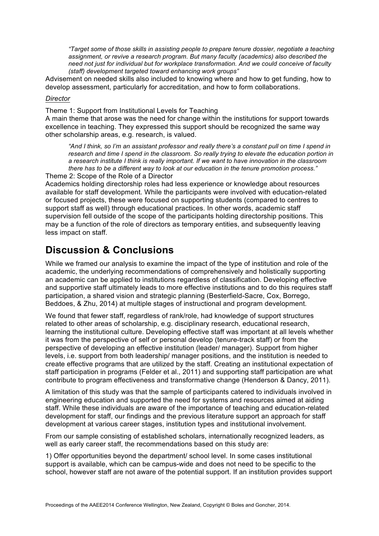*"Target some of those skills in assisting people to prepare tenure dossier, negotiate a teaching assignment, or revive a research program. But many faculty (academics) also described the need not just for individual but for workplace transformation. And we could conceive of faculty (staff) development targeted toward enhancing work groups"*

Advisement on needed skills also included to knowing where and how to get funding, how to develop assessment, particularly for accreditation, and how to form collaborations.

### *Director*

Theme 1: Support from Institutional Levels for Teaching

A main theme that arose was the need for change within the institutions for support towards excellence in teaching. They expressed this support should be recognized the same way other scholarship areas, e.g. research, is valued.

*"And I think, so I'm an assistant professor and really there's a constant pull on time I spend in research and time I spend in the classroom. So really trying to elevate the education portion in a research institute I think is really important. If we want to have innovation in the classroom there has to be a different way to look at our education in the tenure promotion process."*

Theme 2: Scope of the Role of a Director

Academics holding directorship roles had less experience or knowledge about resources available for staff development. While the participants were involved with education-related or focused projects, these were focused on supporting students (compared to centres to support staff as well) through educational practices. In other words, academic staff supervision fell outside of the scope of the participants holding directorship positions. This may be a function of the role of directors as temporary entities, and subsequently leaving less impact on staff.

# **Discussion & Conclusions**

While we framed our analysis to examine the impact of the type of institution and role of the academic, the underlying recommendations of comprehensively and holistically supporting an academic can be applied to institutions regardless of classification. Developing effective and supportive staff ultimately leads to more effective institutions and to do this requires staff participation, a shared vision and strategic planning (Besterfield-Sacre, Cox, Borrego, Beddoes, & Zhu, 2014) at multiple stages of instructional and program development.

We found that fewer staff, regardless of rank/role, had knowledge of support structures related to other areas of scholarship, e.g. disciplinary research, educational research, learning the institutional culture. Developing effective staff was important at all levels whether it was from the perspective of self or personal develop (tenure-track staff) or from the perspective of developing an effective institution (leader/ manager). Support from higher levels, i.e. support from both leadership/ manager positions, and the institution is needed to create effective programs that are utilized by the staff. Creating an institutional expectation of staff participation in programs (Felder et al., 2011) and supporting staff participation are what contribute to program effectiveness and transformative change (Henderson & Dancy, 2011).

A limitation of this study was that the sample of participants catered to individuals involved in engineering education and supported the need for systems and resources aimed at aiding staff. While these individuals are aware of the importance of teaching and education-related development for staff, our findings and the previous literature support an approach for staff development at various career stages, institution types and institutional involvement.

From our sample consisting of established scholars, internationally recognized leaders, as well as early career staff, the recommendations based on this study are:

1) Offer opportunities beyond the department/ school level. In some cases institutional support is available, which can be campus-wide and does not need to be specific to the school, however staff are not aware of the potential support. If an institution provides support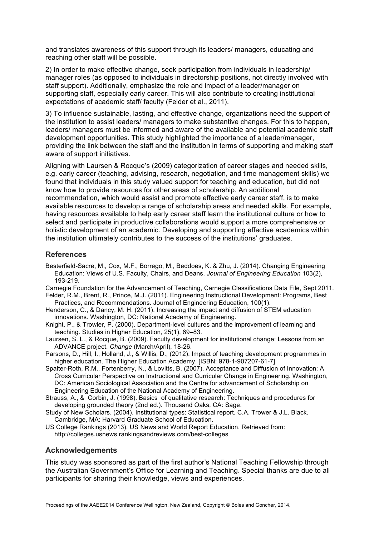and translates awareness of this support through its leaders/ managers, educating and reaching other staff will be possible.

2) In order to make effective change, seek participation from individuals in leadership/ manager roles (as opposed to individuals in directorship positions, not directly involved with staff support). Additionally, emphasize the role and impact of a leader/manager on supporting staff, especially early career. This will also contribute to creating institutional expectations of academic staff/ faculty (Felder et al., 2011).

3) To influence sustainable, lasting, and effective change, organizations need the support of the institution to assist leaders/ managers to make substantive changes. For this to happen, leaders/ managers must be informed and aware of the available and potential academic staff development opportunities. This study highlighted the importance of a leader/manager, providing the link between the staff and the institution in terms of supporting and making staff aware of support initiatives.

Aligning with Laursen & Rocque's (2009) categorization of career stages and needed skills, e.g. early career (teaching, advising, research, negotiation, and time management skills) we found that individuals in this study valued support for teaching and education, but did not know how to provide resources for other areas of scholarship. An additional recommendation, which would assist and promote effective early career staff, is to make available resources to develop a range of scholarship areas and needed skills. For example, having resources available to help early career staff learn the institutional culture or how to select and participate in productive collaborations would support a more comprehensive or holistic development of an academic. Developing and supporting effective academics within the institution ultimately contributes to the success of the institutions' graduates.

## **References**

Besterfield-Sacre, M., Cox, M.F., Borrego, M., Beddoes, K. & Zhu, J. (2014). Changing Engineering Education: Views of U.S. Faculty, Chairs, and Deans. *Journal of Engineering Education* 103(2), 193-219.

Carnegie Foundation for the Advancement of Teaching, Carnegie Classifications Data File, Sept 2011. Felder, R.M., Brent, R., Prince, M.J. (2011). Engineering Instructional Development: Programs, Best

Practices, and Recommendations. Journal of Engineering Education, 100(1). Henderson, C., & Dancy, M. H. (2011). Increasing the impact and diffusion of STEM education

- innovations. Washington, DC: National Academy of Engineering.
- Knight, P., & Trowler, P. (2000). Department-level cultures and the improvement of learning and teaching. Studies in Higher Education, 25(1), 69–83.
- Laursen, S. L., & Rocque, B. (2009). Faculty development for institutional change: Lessons from an ADVANCE project. *Change* (March/April), 18-26.
- Parsons, D., Hill, I., Holland, J., & Willis, D., (2012). Impact of teaching development programmes in higher education. The Higher Education Academy. [ISBN: 978-1-907207-61-7]
- Spalter-Roth, R.M., Fortenberry, N., & Lovitts, B. (2007). Acceptance and Diffusion of Innovation: A Cross Curricular Perspective on Instructional and Curricular Change in Engineering. Washington, DC: American Sociological Association and the Centre for advancement of Scholarship on Engineering Education of the National Academy of Engineering.
- Strauss, A., & Corbin, J. (1998). Basics of qualitative research: Techniques and procedures for developing grounded theory (2nd ed.). Thousand Oaks, CA: Sage.
- Study of New Scholars. (2004). Institutional types: Statistical report. C.A. Trower & J.L. Black. Cambridge, MA: Harvard Graduate School of Education.
- US College Rankings (2013). US News and World Report Education. Retrieved from: http://colleges.usnews.rankingsandreviews.com/best-colleges

### **Acknowledgements**

This study was sponsored as part of the first author's National Teaching Fellowship through the Australian Government's Office for Learning and Teaching. Special thanks are due to all participants for sharing their knowledge, views and experiences.